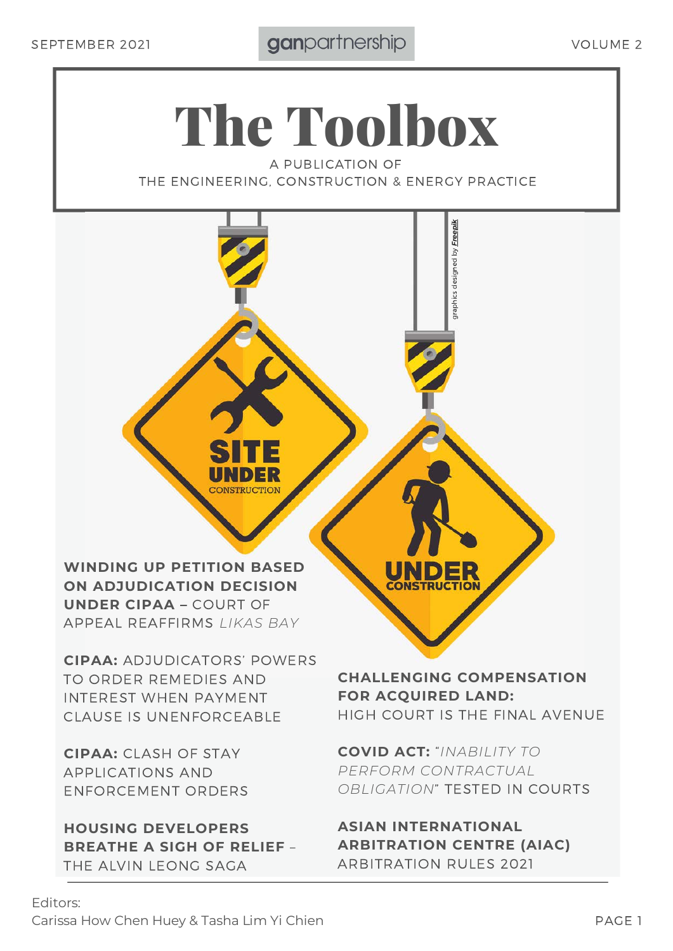# The Toolbox

A PUBLICATION OF THE ENGINEERING, CONSTRUCTION & ENERGY PRACTICE

**WINDING UP PETITION BASED ON ADJUDICATION DECISION UNDER CIPAA –** COURT OF APPEAL REAFFIRMS *LIKAS BAY*

**CIPAA:** ADJUDICATORS' POWERS TO ORDER REMEDIES AND INTEREST WHEN PAYMENT CLAUSE IS UNENFORCEABLE

**CIPAA:** CLASH OF STAY APPLICATIONS AND ENFORCEMENT ORDERS

**HOUSING DEVELOPERS BREATHE A SIGH OF RELIEF** – THE ALVIN LEONG SAGA

**CHALLENGING COMPENSATION FOR ACQUIRED LAND:** HIGH COURT IS THE FINAL AVENUE

graphics designed by *[Freepik](http://www.freepik.com/)*

graphics designed by **Freepik** 

**COVID ACT:** "*INABILITY TO PERFORM CONTRACTUAL OBLIGATION*" TESTED IN COURTS

**ASIAN INTERNATIONAL ARBITRATION CENTRE (AIAC)** ARBITRATION RULES 2021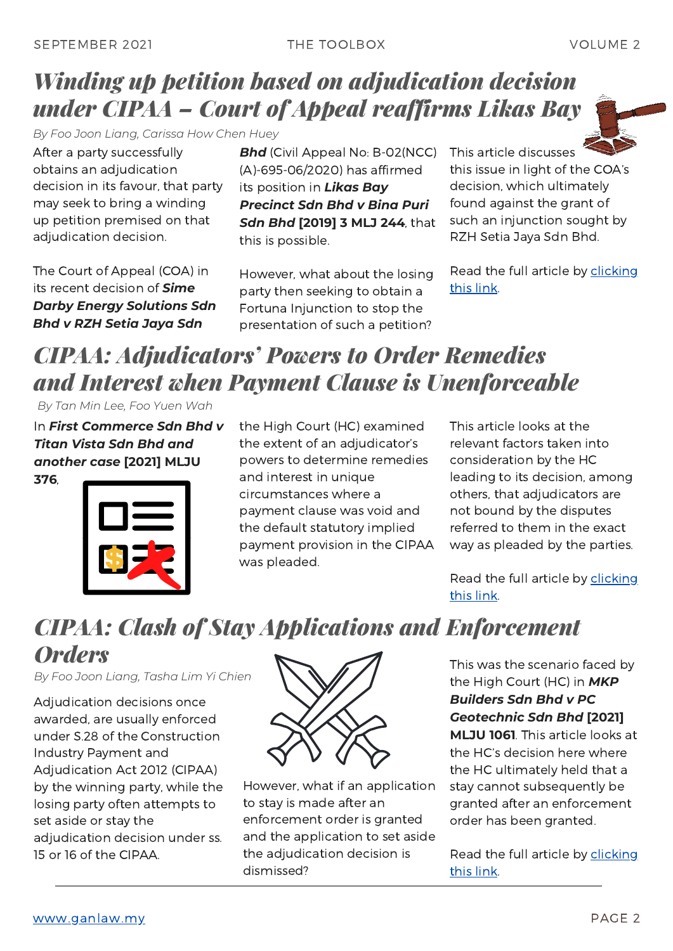### *Winding up petition based on adjudication decision under CIPAA – Court of Appeal reaffirms Likas Bay*

*By Foo Joon Liang, Carissa How Chen Huey*

After a party successfully obtains an adjudication decision in its favour, that party may seek to bring a winding up petition premised on that adjudication decision.

The Court of Appeal (COA) in its recent decision of *Sime Darby Energy Solutions Sdn Bhd v RZH Setia Jaya Sdn*

**Bhd** (Civil Appeal No: B-02(NCC) (A)-695-06/2020) has affirmed its position in *Likas Bay Precinct Sdn Bhd v Bina Puri Sdn Bhd* **[2019] 3 MLJ 244**, that this is possible.

However, what about the losing party then seeking to obtain a Fortuna Injunction to stop the presentation of such a petition? This article discusses this issue in light of the COA's decision, which ultimately found against the grant of such an injunction sought by RZH Setia Jaya Sdn Bhd.

Read the full article by [clicking](https://www.ganlaw.my/winding-up-petition-based-on-adjudication-decision-under-cipaa-court-of-appeal-reaffirms-likas-bay/) this link.

## *CIPAA: Adjudicators' Powers to Order Remedies and Interest when Payment Clause is Unenforceable*

*By Tan Min Lee, Foo Yuen Wah*

In *First Commerce Sdn Bhd v Titan Vista Sdn Bhd and another case* **[2021] MLJU 376**,



the High Court (HC) examined the extent of an adjudicator's powers to determine remedies and interest in unique circumstances where a payment clause was void and the default statutory implied payment provision in the CIPAA was pleaded.

This article looks at the relevant factors taken into consideration by the HC leading to its decision, among others, that adjudicators are not bound by the disputes referred to them in the exact way as pleaded by the parties.

Read the full article by [clicking](https://www.ganlaw.my/cipaa-adjudicators-powers-to-order-remedies-and-interest-when-payment-clause-is-unenforceable/) this link.

### *CIPAA: Clash of Stay Applications and Enforcement Orders*

*By Foo Joon Liang, Tasha Lim Yi Chien*

Adjudication decisions once awarded, are usually enforced under S.28 of the Construction Industry Payment and Adjudication Act 2012 (CIPAA) by the winning party, while the losing party often attempts to set aside or stay the adjudication decision under ss. 15 or 16 of the CIPAA.



However, what if an application to stay is made after an enforcement order is granted and the application to set aside the adjudication decision is dismissed?

This was the scenario faced by the High Court (HC) in *MKP Builders Sdn Bhd v PC Geotechnic Sdn Bhd* **[2021] MLJU 1061**. This article looks at

the HC's decision here where the HC ultimately held that a stay cannot subsequently be granted after an enforcement order has been granted.

Read the full article by [clicking](https://www.ganlaw.my/cipaa-clash-of-stay-applications-and-enforcement-orders/) this link.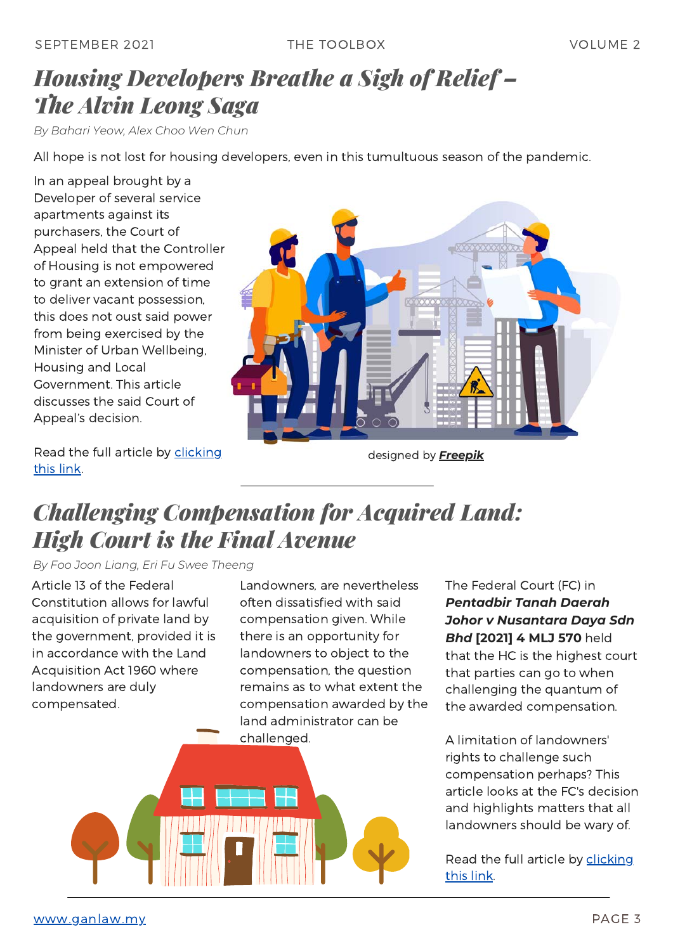### *Housing Developers Breathe a Sigh of Relief – The Alvin Leong Saga*

*By Bahari Yeow, Alex Choo Wen Chun*

All hope is not lost for housing developers, even in this tumultuous season of the pandemic.

In an appeal brought by a Developer of several service apartments against its purchasers, the Court of Appeal held that the Controller of Housing is not empowered to grant an extension of time to deliver vacant possession, this does not oust said power from being exercised by the Minister of Urban Wellbeing, Housing and Local Government. This article discusses the said Court of Appeal's decision.

Read the full article by [clicking](https://www.ganlaw.my/housing-developers-breathe-a-sigh-of-relief-the-alvin-leong-saga/) this link.



designed by *[Freepik](http://www.freepik.com/)*

### *Challenging Compensation for Acquired Land: High Court is the Final Avenue*

*By Foo Joon Liang, Eri Fu Swee Theeng*

Article 13 of the Federal Constitution allows for lawful acquisition of private land by the government, provided it is in accordance with the Land Acquisition Act 1960 where landowners are duly compensated.

Landowners, are nevertheless often dissatisfied with said compensation given. While there is an opportunity for landowners to object to the compensation, the question remains as to what extent the compensation awarded by the land administrator can be



The Federal Court (FC) in *Pentadbir Tanah Daerah Johor v Nusantara Daya Sdn Bhd* **[2021] 4 MLJ 570** held that the HC is the highest court that parties can go to when challenging the quantum of the awarded compensation.

A limitation of landowners' rights to challenge such compensation perhaps? This article looks at the FC's decision and highlights matters that all landowners should be wary of.

Read the full article by [clicking](https://www.ganlaw.my/challenging-compensation-for-acquired-land-high-court-is-the-final-avenue/) this link.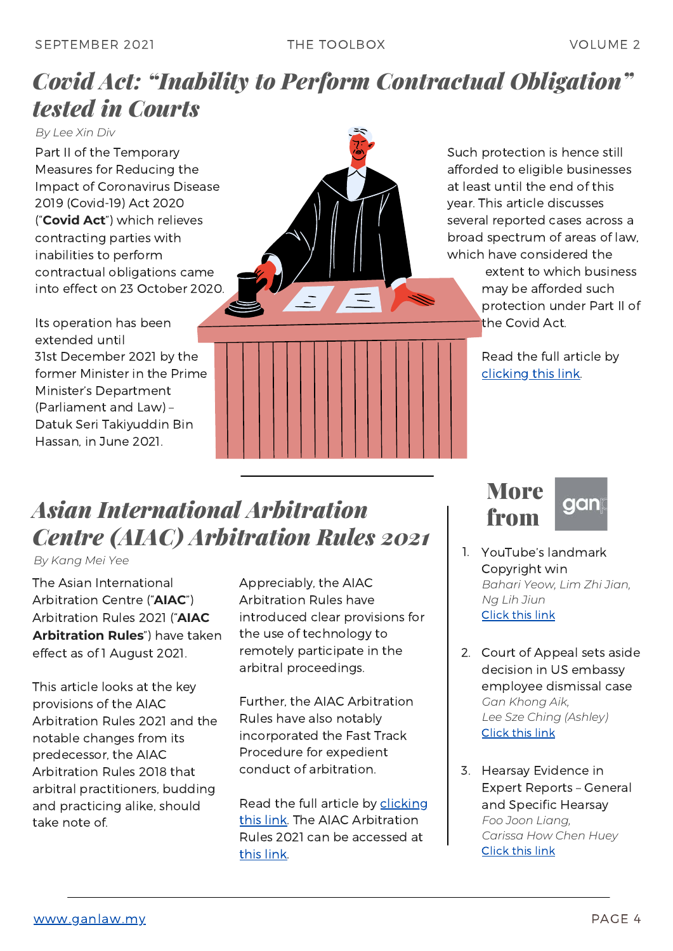### *Covid Act: "Inability to Perform Contractual Obligation" tested in Courts*

*By Lee Xin Div*

Part II of the Temporary Measures for Reducing the Impact of Coronavirus Disease 2019 (Covid-19) Act 2020 ("**Covid Act**") which relieves contracting parties with inabilities to perform contractual obligations came into effect on 23 October 2020.

Its operation has been extended until 31st December 2021 by the former Minister in the Prime Minister's Department (Parliament and Law) – Datuk Seri Takiyuddin Bin Hassan, in June 2021.



Such protection is hence still afforded to eligible businesses at least until the end of this year. This article discusses several reported cases across a broad spectrum of areas of law, which have considered the

> extent to which business may be afforded such protection under Part II of the Covid Act.

Read the full article by [clicking](https://www.ganlaw.my/covid-act-inability-to-perform-contractual-obligation-tested-in-courts/) this link.

# *Asian International Arbitration Centre (AIAC) Arbitration Rules 2021*

*By Kang Mei Yee*

The Asian International Arbitration Centre ("**AIAC**") Arbitration Rules 2021 ("**AIAC Arbitration Rules**") have taken effect as of 1 August 2021.

This article looks at the key provisions of the AIAC Arbitration Rules 2021 and the notable changes from its predecessor, the AIAC Arbitration Rules 2018 that arbitral practitioners, budding and practicing alike, should take note of.

Appreciably, the AIAC Arbitration Rules have introduced clear provisions for the use of technology to remotely participate in the arbitral proceedings.

Further, the AIAC Arbitration Rules have also notably incorporated the Fast Track Procedure for expedient conduct of arbitration.

Read the full article by clicking this link. The AIAC [Arbitration](https://www.ganlaw.my/aiac-arbitration-rules-2021/) Rules 2021 can be accessed at this [link](https://admin.aiac.world/uploads/ckupload/ckupload_20210801103608_18.pdf).

**More** from



- 1. YouTube's landmark Copyright win *Bahari Yeow, Lim Zhi Jian, Ng Lih Jiun* [Click](https://www.ganlaw.my/youtubes-landmark-copyright-win/) this link
- 2. Court of Appeal sets aside decision in US embassy employee dismissal case *Gan Khong Aik, Lee Sze Ching (Ashley)* [Click](https://www.ganlaw.my/court-of-appeal-sets-aside-decision-in-us-embassy-employee-dismissal-case/) this link
- 3. Hearsay Evidence in Expert Reports – General and Specific Hearsay *Foo Joon Liang, Carissa How Chen Huey* [Click](https://www.ganlaw.my/hearsay-evidence-in-expert-reports-general-and-specific-hearsay/) this link